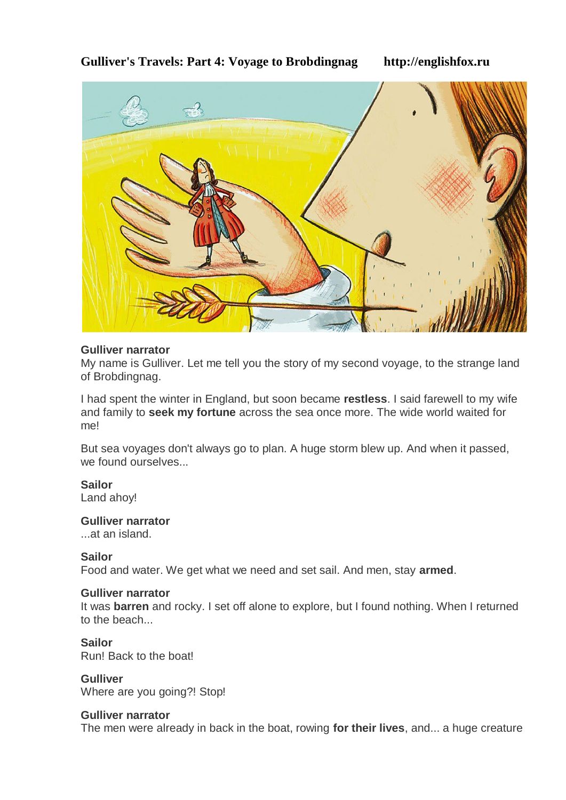## **Gulliver's Travels: Part 4: Voyage to Brobdingnag http://englishfox.ru**



#### **Gulliver narrator**

My name is Gulliver. Let me tell you the story of my second voyage, to the strange land of Brobdingnag.

I had spent the winter in England, but soon became **restless**. I said farewell to my wife and family to **seek my fortune** across the sea once more. The wide world waited for me!

But sea voyages don't always go to plan. A huge storm blew up. And when it passed, we found ourselves...

#### **Sailor**

Land ahoy!

**Gulliver narrator**

...at an island.

#### **Sailor**

Food and water. We get what we need and set sail. And men, stay **armed**.

#### **Gulliver narrator**

It was **barren** and rocky. I set off alone to explore, but I found nothing. When I returned to the beach...

**Sailor** Run! Back to the boat!

**Gulliver** Where are you going?! Stop!

## **Gulliver narrator**

The men were already in back in the boat, rowing **for their lives**, and... a huge creature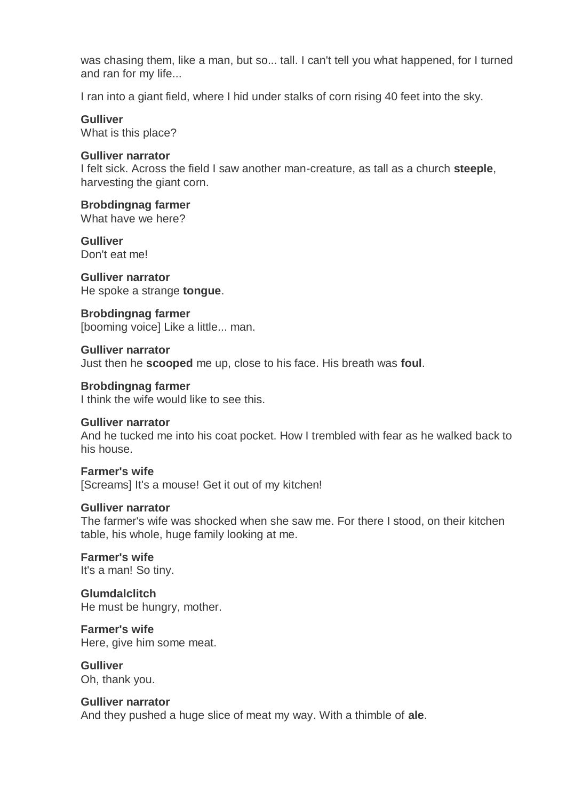was chasing them, like a man, but so... tall. I can't tell you what happened, for I turned and ran for my life...

I ran into a giant field, where I hid under stalks of corn rising 40 feet into the sky.

**Gulliver** What is this place?

#### **Gulliver narrator**

I felt sick. Across the field I saw another man-creature, as tall as a church **steeple**, harvesting the giant corn.

**Brobdingnag farmer** What have we here?

**Gulliver** Don't eat me!

**Gulliver narrator** He spoke a strange **tongue**.

**Brobdingnag farmer** [booming voice] Like a little... man.

**Gulliver narrator** Just then he **scooped** me up, close to his face. His breath was **foul**.

# **Brobdingnag farmer**

I think the wife would like to see this.

## **Gulliver narrator**

And he tucked me into his coat pocket. How I trembled with fear as he walked back to his house.

## **Farmer's wife**

[Screams] It's a mouse! Get it out of my kitchen!

#### **Gulliver narrator**

The farmer's wife was shocked when she saw me. For there I stood, on their kitchen table, his whole, huge family looking at me.

**Farmer's wife** It's a man! So tiny.

**Glumdalclitch** He must be hungry, mother.

**Farmer's wife** Here, give him some meat.

**Gulliver** Oh, thank you.

#### **Gulliver narrator**

And they pushed a huge slice of meat my way. With a thimble of **ale**.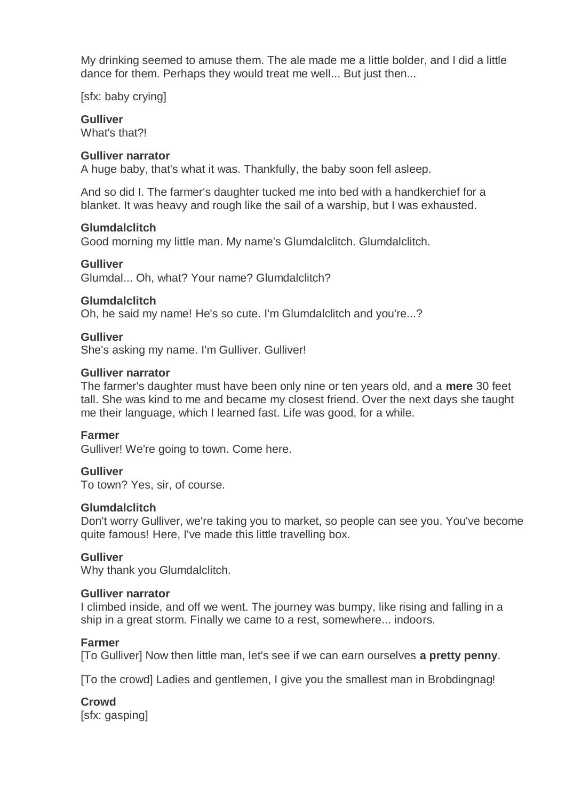My drinking seemed to amuse them. The ale made me a little bolder, and I did a little dance for them. Perhaps they would treat me well... But just then...

[sfx: baby crying]

## **Gulliver**

What's that?!

#### **Gulliver narrator**

A huge baby, that's what it was. Thankfully, the baby soon fell asleep.

And so did I. The farmer's daughter tucked me into bed with a handkerchief for a blanket. It was heavy and rough like the sail of a warship, but I was exhausted.

#### **Glumdalclitch**

Good morning my little man. My name's Glumdalclitch. Glumdalclitch.

#### **Gulliver**

Glumdal... Oh, what? Your name? Glumdalclitch?

#### **Glumdalclitch**

Oh, he said my name! He's so cute. I'm Glumdalclitch and you're...?

#### **Gulliver**

She's asking my name. I'm Gulliver. Gulliver!

#### **Gulliver narrator**

The farmer's daughter must have been only nine or ten years old, and a **mere** 30 feet tall. She was kind to me and became my closest friend. Over the next days she taught me their language, which I learned fast. Life was good, for a while.

#### **Farmer**

Gulliver! We're going to town. Come here.

## **Gulliver**

To town? Yes, sir, of course.

#### **Glumdalclitch**

Don't worry Gulliver, we're taking you to market, so people can see you. You've become quite famous! Here, I've made this little travelling box.

#### **Gulliver**

Why thank you Glumdalclitch.

#### **Gulliver narrator**

I climbed inside, and off we went. The journey was bumpy, like rising and falling in a ship in a great storm. Finally we came to a rest, somewhere... indoors.

## **Farmer**

[To Gulliver] Now then little man, let's see if we can earn ourselves **a pretty penny**.

[To the crowd] Ladies and gentlemen, I give you the smallest man in Brobdingnag!

## **Crowd**

[sfx: gasping]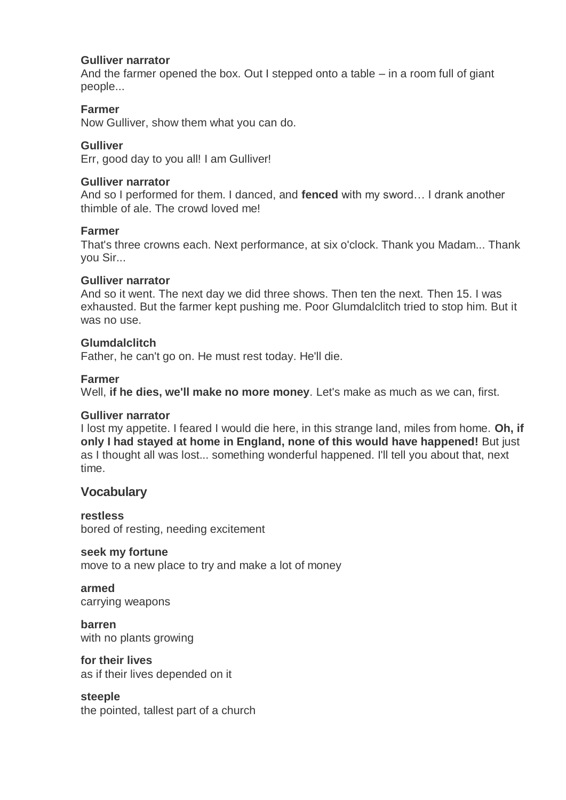### **Gulliver narrator**

And the farmer opened the box. Out I stepped onto a table – in a room full of giant people...

## **Farmer**

Now Gulliver, show them what you can do.

### **Gulliver**

Err, good day to you all! I am Gulliver!

#### **Gulliver narrator**

And so I performed for them. I danced, and **fenced** with my sword… I drank another thimble of ale. The crowd loved me!

#### **Farmer**

That's three crowns each. Next performance, at six o'clock. Thank you Madam... Thank you Sir...

#### **Gulliver narrator**

And so it went. The next day we did three shows. Then ten the next. Then 15. I was exhausted. But the farmer kept pushing me. Poor Glumdalclitch tried to stop him. But it was no use.

#### **Glumdalclitch**

Father, he can't go on. He must rest today. He'll die.

#### **Farmer**

Well, **if he dies, we'll make no more money**. Let's make as much as we can, first.

#### **Gulliver narrator**

I lost my appetite. I feared I would die here, in this strange land, miles from home. **Oh, if only I had stayed at home in England, none of this would have happened!** But just as I thought all was lost... something wonderful happened. I'll tell you about that, next time.

## **Vocabulary**

**restless** bored of resting, needing excitement

#### **seek my fortune**

move to a new place to try and make a lot of money

## **armed**

carrying weapons

**barren** with no plants growing

#### **for their lives**

as if their lives depended on it

#### **steeple**

the pointed, tallest part of a church